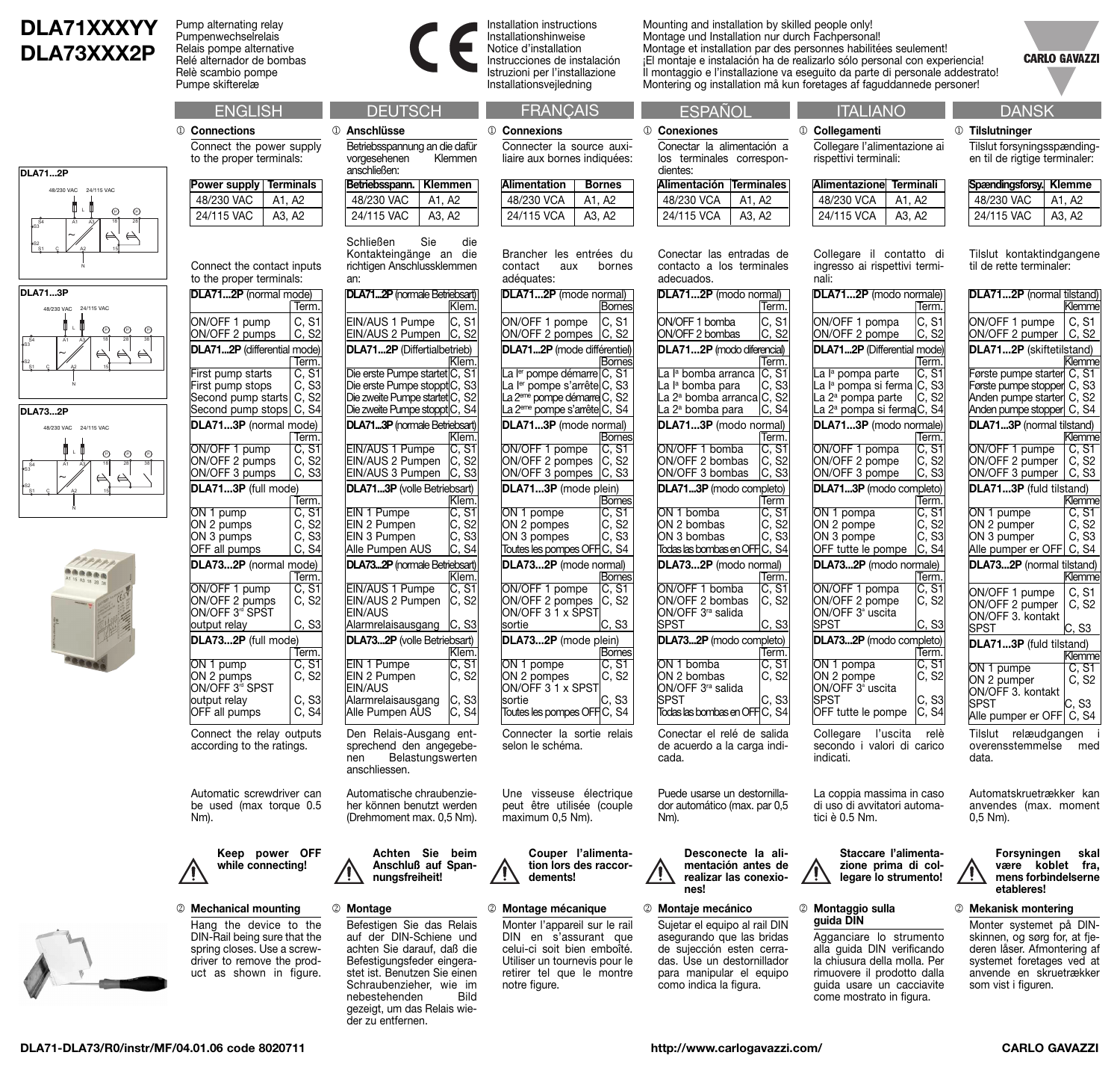## **DLA71XXXYY DLA73XXX2P**

N

 $\frac{24}{15}$ <br>  $\frac{24}{15}$ <br>  $\frac{24}{15}$ <br>  $\frac{24}{15}$ <br>  $\frac{24}{15}$ <br>  $\frac{24}{15}$ 

S3S4 <sup>38</sup>

A2 15

 $\begin{array}{|c|c|c|c|c|}\hline 54 & A1 & A3 & 18 & 28 & 38 \\ 83 & A1 & A2 & 18 & 28 & 38 \\ \hline \end{array}$ 

18

18

A1 A3

N

 $\begin{array}{c}\n\Pi \vdash \mathbf{0} \\
\mathbf{A}3 \qquad \mathbf{A}2 \\
\mathbf{B}3 \qquad \mathbf{A}3 \\
\mathbf{B}4 \qquad \mathbf{A}4 \\
\mathbf{A}1 \qquad \mathbf{A}3\n\end{array}$ 

N

L

48/230 VAC 24/115 VAC

L

48/230 VAC 24/115 VAC

AC 24/<br> $\begin{bmatrix} 24/11 \\ 1 \end{bmatrix}$   $\begin{bmatrix} 1 \\ 1 \end{bmatrix}$   $\begin{bmatrix} 24/11 \\ 1 \end{bmatrix}$ 

L

24/115 VAC<br>  $\frac{24/115 \text{ VAC}}{18}$ <br>  $\frac{62}{15}$ 

24/115 VAC

28

 $\Longleftrightarrow$ 

(i) (i)

 $\omega$   $\omega$ 

m m

S1 S2

**DLA71...3P**

S1 S2

S S2

C

C

**DLA73...2P**

 $\frac{S4}{S3}$ 

**DLA71...2P**

C

Pump alternating relay Pumpenwechselrelais Relais pompe alternative Relé alternador de bombas Relè scambio pompe Pumpe skifterelæ

1 **Connections** Connect the power supply to the proper terminals:

| <b>Power supply Terminals</b> |        |
|-------------------------------|--------|
| 48/230 VAC                    | A1. A2 |
| 24/115 VAC                    | A3. A2 |

Connect the contact inputs to the proper terminals

| DLA712P (normal mode)                                                   |                         |
|-------------------------------------------------------------------------|-------------------------|
|                                                                         | Term.                   |
| ON/OFF 1 pump                                                           | C, S1                   |
| ON/OFF 2 pumps                                                          | C, S2                   |
| DLA712P (differential mode)                                             |                         |
|                                                                         | Term.                   |
| First pump starts<br>First pump stops C, S3<br>Second pump starts C, S2 |                         |
|                                                                         |                         |
|                                                                         |                         |
| Second pump stops                                                       | C, S4                   |
| DLA713P (normal mode)                                                   |                         |
|                                                                         | Term.                   |
| ON/OFF 1 pump<br>ON/OFF 2 pumps                                         | C, S1                   |
|                                                                         |                         |
| ON/OFF 3 pumps                                                          | C, S2<br>C, S3          |
| DLA713P (full mode)                                                     |                         |
|                                                                         | Term.                   |
| ON 1 pump<br>ON 2 pumps                                                 | C, S1<br>C, S2<br>C, S3 |
|                                                                         |                         |
| $ON3$ pumps                                                             |                         |
| OFF all pumps                                                           | C <u>, S4</u>           |
| DLA732P (normal mode)                                                   |                         |
|                                                                         | Term.                   |
| ON/OFF 1 pump<br>ON/OFF 2 pumps<br>ON/OFF 3 <sup>rd</sup> SPST          | C, S1                   |
|                                                                         | C, S2                   |
|                                                                         |                         |
| output relay                                                            | C, S3                   |
| DLA732P (full mode)                                                     |                         |
|                                                                         | Term.                   |
| ON 1 pump<br>ON 2 pumps                                                 | C, S1                   |
|                                                                         | C, S2                   |
| ON/OFF 3ª SPST                                                          |                         |
|                                                                         | C, S3                   |
| output relay<br>OFF all pumps                                           | C, S4                   |

Automatic screwdriver can

be used (max torque 0.5 Nm).

**Keep power OFF while connecting!** /!`

2 **Mechanical mounting** Hang the device to the DIN-Rail being sure that the spring closes. Use a screwdriver to remove the product as shown in figure.





**DLA71...2P** (normale Betriebsart)

EIN/AUS 1 Pumpe C, S1<br>EIN/AUS 2 Pumpen C, S2 EIN/AUS 2 Pumpen **DLA71...2P** (Differtialbetrieb)

Die erste Pumpe startet C, S1 Die erste Pumpe stopptC, S3 Die zweite Pumpe startet C, S2 Die zweite Pumpe stoppt $|C, S4$ **DLA71...3P** (normale Betriebsart)

EIN/AUS 2 Pumpen C, S2<br>EIN/AUS 3 Pumpen C, S3 EIN/AUS 3 Pumpen **DLA71...3P** (volle Betriebsart)

EIN 1 Pumpe<br>EIN 2 Pumpen C. S2 EIN 2 Pumpen C, S2 EIN 3 Pumpen C, S3<br>Alle Pumpen AUS C, S4 Alle Pumpen AUS **DLA73...2P** (normale Betriebsart)

EIN/AUS 1 Pumpe C, S1<br>EIN/AUS 2 Pumpen C, S2 EIN/AUS 2 Pumpen

Alarmrelaisausgang C, S3 **DLA73...2P** (volle Betriebsart)

EIN 1 Pumpe C, S1<br>EIN 2 Pumpen C, S2

EIN/AUS 1 Pumpe

Klem.

Klem.

Klem.<br>IC. S1

Klem.<br>C. S1

Klem.<br>C. S1

Klem.

Den Relais-Ausgang entsprechend den angegebe-<br>nen Belastungswerten Belastungswerten

Alarmrelaisausgang C, S3<br>Alle Pumpen AUS C, S4 Alle Pumpen AUS

Automatische chraubenzieher können benutzt werden (Drehmoment max. 0,5 Nm).

> **Achten Sie beim Anschluß auf Spannungsfreiheit!**

Befestigen Sie das Relais auf der DIN-Schiene und achten Sie darauf, daß die Befestigungsfeder eingerastet ist. Benutzen Sie einen Schraubenzieher, wie im<br>nebestehenden Bild

gezeigt, um das Relais wie-

anschliessen.

EIN 2 Pumpen EIN/AUS

EIN/AUS

2 **Montage**

nebestehenden

der zu entfernen.

an:

Installation instructions Installationshinweise Notice d'installation Instrucciones de instalación Istruzioni per l'installazione Installationsvejledning

> Connecter la source auxiliaire aux bornes indiquées:

> Connecter la sortie relais

ON 1 pompe C, S1<br>ON 2 pompes C, S2

Une visseuse électrique peut être utilisée (couple maximum 0,5 Nm).

**dements!**

2 **Montage mécanique** Monter l'appareil sur le rail DIN en s'assurant que celui-ci soit bien emboîté. Utiliser un tournevis pour le retirer tel que le montre

notre figure.

**Couper l'alimentation lors des raccor-**

selon le schéma.

ON 2 pompes ON/OFF 3 1 x SPST sortie IC, S3 Toutes les pompes OFF C, S4

1 **Connexions**

**Alimenta** 48/230  $24/115$ 

adéquates:

ON/OFF 2 pompes **DLA71...2P** (mode différentiel)

ON/OFF 1 pompe ON/OFF 2 pompes C, S2<br>ON/OFF 3 pompes C, S3  $ON/OFF 3$  pompes **DLA71...3P** (mode plein)

 $ON<sub>3</sub>$  pompes

La ler pompe démarre C, S1 La l<sup>er</sup> pompe s'arrête<sup>[C, S3</sup> La 2<sup>eme</sup> pompe démarre C, S2 La 2<sup>eme</sup> pompe s'arrête C, S4 **DLA71...3P** (mode normal)

ON 1 pompe<br>ON 2 pompes C. S2 ON 2 pompes (C, S2<br>ON 3 pompes (C, S3

Toutes les pompes OFF C, S4 **DLA73...2P** (mode normal)

ON/OFF 1 pompe C, S1<br>ON/OFF 2 pompes C, S2 ON/OFF 2 pompes ON/OFF 3 1 x SPST sortie C, S3 **DLA73...2P** (mode plein)

Mounting and installation by skilled people only! Montage und Installation nur durch Fachpersonal! Montage et installation par des personnes habilitées seulement! ¡El montaje e instalación ha de realizarlo sólo personal con experiencia! Il montaggio e l'installazione va eseguito da parte di personale addestrato! Montering og installation må kun foretages af faguddannede personer!

1 **Collegamenti**

nali:

Collegare l'alimentazione ai rispettivi terminali:

**Alimentazione Terminali** 48/230 VCA | A1, A2  $24/115$  VCA  $\parallel$  A3, A2

Collegare il contatto di ingresso ai rispettivi termi-

**DLA71...2P** (modo normale)

**Term** 

La coppia massima in caso di uso di avvitatori automa-

> **Staccare l'alimentazione prima di collegare lo strumento!**

tici è 0.5 Nm.

**CARLO GAVAZZI** 1 **Tilslutninger** Tilslut forsyningsspændingen til de rigtige terminaler: **Spændingsforsy. Klemme**

| ation      | <b>Bornes</b> |            | Alimentación Terminales |  |
|------------|---------------|------------|-------------------------|--|
| <b>VCA</b> | A1. A2        | 48/230 VCA | A1. A2                  |  |
| <b>VCA</b> | A3. A2        | 24/115 VCA | A3. A2                  |  |

**Bornes** 

Bornes<br>C, S1

Bornes<br>C, S1

Bornes<br>C, S1

Bornes<br>C, S1

Brancher les entrées du contact aux bornes Conectar las entradas de ac **DLA71...2P** (mode normal) **Bornes** ON/OFF 1 pompe C, S1<br>ON/OFF 2 pompes C, S2

1 **Conexiones**

dientes:

|                                              |             | ierm.                             |
|----------------------------------------------|-------------|-----------------------------------|
| ON/OFF 1 bomba<br>ON/OFF 2 bombas            | C, S1       | C, S2                             |
| DLA712P (modo diferencial)                   |             |                                   |
|                                              |             | Term.                             |
| La l <sup>a</sup> bomba arranca              |             | C, S1                             |
| La l <sup>a</sup> bomba para                 |             | C. S3                             |
| La 2 <sup>ª</sup> bomba arranca C, S2        |             |                                   |
| La 2 <sup>ª</sup> bomba para                 |             | C, S4                             |
| DLA713P (modo normal)                        |             |                                   |
|                                              | Term.       |                                   |
| ON/OFF 1 bomba                               |             | C, S1<br>C, S2<br>C, S3           |
| ON/OFF 2 bombas                              |             |                                   |
| ON/OFF 3 bombas                              |             |                                   |
| DLA713P (modo completo)                      |             |                                   |
|                                              | <b>Term</b> |                                   |
| ON 1 bomba                                   |             | $\overline{C}$ , $\overline{S}$ 1 |
| ON 2 bombas                                  |             | C, S2<br>C, S3                    |
| ON 3 bombas                                  |             |                                   |
| Todas las bombas en OFFC, S4                 |             |                                   |
| DLA732P (modo normal)                        |             |                                   |
|                                              | Term.       |                                   |
| ON/OFF 1 bomba                               |             | C, S1                             |
| ON/OFF 2 bombas                              |             | C, S <sub>2</sub>                 |
| ON/OFF 3 <sup>ra</sup> salida                |             |                                   |
| <b>SPST</b>                                  |             | C, S3                             |
| DLA732P (modo completo)                      |             |                                   |
|                                              | Term.       |                                   |
| ON 1 bomba                                   |             | C, S1                             |
| ON 2 bombas<br>ON/OFF 3 <sup>ra</sup> salida |             | C, S2                             |
| <b>SPST</b>                                  |             | C, S3                             |
| Todas las bombas en OFFI                     |             | C. S4                             |
|                                              |             |                                   |
|                                              |             |                                   |

Conectar el relé de s de acuerdo a la carga indicada.

Puede usarse un destornillador automático (max. par 0,5 Nm).

**Desconecte la alines!**

## 2 **Montaje mecánico**

Sujetar el equipo al rail DIN asegurando que las bridas de sujección esten cerradas. Use un destornillador para manipular el equipo como indica la figura.

| Conectar las entradas de  |       |  |  |  |
|---------------------------|-------|--|--|--|
| contacto a los terminales |       |  |  |  |
| adecuados.                |       |  |  |  |
| DLA712P (modo normal)     |       |  |  |  |
|                           | Term. |  |  |  |
| ON/OFF 1 bomba            | C, S1 |  |  |  |

Conectar la alimentación a los terminales correspon-

| - 1 bomba<br>- 2 bombas                                      | IC. S1<br>C, S2         | ON/OFF 1 pompa<br>ON/OFF 2 pompe                                                                                          | IC. S1<br>C, S2                  |
|--------------------------------------------------------------|-------------------------|---------------------------------------------------------------------------------------------------------------------------|----------------------------------|
| 2P (modo diferencial)                                        | Term.                   | DLA712P (Differential mode)                                                                                               | Term.                            |
| omba arranca<br>omba para<br>omba arranca C, S2<br>omba para | C, S1<br>C, S3<br>C, S4 | La l <sup>a</sup> pompa parte<br>La l <sup>a</sup> pompa si ferma C, S3<br>La 2ª pompa parte<br>La 2ª pompa si fermaC, S4 | $\overline{C, S1}$<br>C, S2      |
| 3P (modo normal)                                             | Term.                   | DLA713P (modo normale)                                                                                                    | Term.                            |
| F 1 bomba<br>F 2 bombas<br>F 3 bombas                        | C, S1<br>C, S2<br>C, S3 | ON/OFF 1 pompa<br>ON/OFF 2 pompe<br>ON/OFF 3 pompe                                                                        | C, S1<br>C, S2<br>C, S3          |
| 3P (modo completo)                                           | Term                    | DLA713P (modo completo)                                                                                                   | Term.                            |
| omba<br>ombas<br>ombas<br>s bombas en OFF C, S4              | C, S1<br>C, S2<br>C, S3 | ON 1 pompa<br>ON 2 pompe<br>ON 3 pompe<br>OFF tutte le pompe                                                              | C, S1<br>C, S2<br>C, S3<br>C. S4 |
| 2P (modo normal)                                             | Term.                   | DLA732P (modo normale)                                                                                                    | Term.                            |
| F 1 bomba<br>F 2 bombas<br>F 3 <sup>ra</sup> salida          | C, S1<br>C. S2<br>C. S3 | ON/OFF 1 pompa<br>ON/OFF 2 pompe<br>ON/OFF 3 <sup>ª</sup> uscita<br>SPST                                                  | C, S1<br>C. S2<br>C, S3          |
| 2P (modo completo)                                           | Term.                   | DLA732P (modo completo)                                                                                                   | Term.                            |
| omba<br>ombas<br>F 3 <sup>ra</sup> salida                    | C, S1<br>C, S2<br>C, S3 | ON 1 pompa<br>ON 2 pompe<br>ON/OFF 3 <sup>ª</sup> uscita<br>SPST                                                          | C, S1<br>C. S2<br>C, S3          |
| s bombas en OFF C, S4                                        |                         | OFF tutte le pompe                                                                                                        | C, S4                            |
| tar el relé de salida                                        |                         | Collegare<br>l'uscita                                                                                                     | relè                             |

secondo i valori di carico indicati.

**mentación antes de realizar las conexio-**

> 2 **Montaggio sulla guida DIN**

Agganciare lo strumento alla guida DIN verificando la chiusura della molla. Per rimuovere il prodotto dalla guida usare un cacciavite come mostrato in figura.

Tilslut kontaktindgangene til de rette terminaler:

48/230 VAC | A1, A2 24/115 VAC | A3, A2

| DLA712P (normal tilstand)                                                                                          |                    |
|--------------------------------------------------------------------------------------------------------------------|--------------------|
|                                                                                                                    | Klemme             |
| ON/OFF 1 pumpe                                                                                                     | C, S1              |
| ON/OFF 2 pumper                                                                                                    | C, S2              |
| DLA712P (skiftetilstand)                                                                                           |                    |
|                                                                                                                    | Klemme             |
| Første pumpe starter C, S1<br>Første pumpe stopper C, S3<br>Anden pumpe starter C, S2<br>Anden pumpe stopper C, S4 |                    |
|                                                                                                                    |                    |
|                                                                                                                    |                    |
|                                                                                                                    |                    |
| DLA713P (normal tilstand)                                                                                          |                    |
|                                                                                                                    | Klemme             |
| ON/OFF 1 pumpe                                                                                                     | C, S1              |
| ON/OFF 2 pumper                                                                                                    | C, S2              |
| ON/OFF 3 pumper                                                                                                    | C, S3              |
| DLA713P (fuld tilstand)                                                                                            |                    |
|                                                                                                                    | Klemme             |
| ON 1 pumpe                                                                                                         | C, S1              |
| ON 2 pumper<br>ON 3 pumper                                                                                         | C, S2<br>C, S3     |
| Alle pumper er OFF                                                                                                 | C, S4              |
|                                                                                                                    |                    |
| DLA732P (normal tilstand)                                                                                          | Klemme             |
|                                                                                                                    |                    |
| ON/OFF 1 pumpe                                                                                                     | C, S1              |
| ON/OFF 2 pumper                                                                                                    | C. S2              |
| ON/OFF 3. kontakt<br>SPST                                                                                          |                    |
|                                                                                                                    | C, S3              |
| DLA713P (fuld tilstand)                                                                                            |                    |
|                                                                                                                    | Klemme             |
| ON 1 pumpe                                                                                                         | $\overline{C, S1}$ |
| ON 2 pumper<br>ON/OFF 3. kontakt                                                                                   | C. S2              |
| <b>SPST</b>                                                                                                        | C. S3              |
| Alle pumper er OFF C, S4                                                                                           |                    |
|                                                                                                                    |                    |
| Tilslut<br>relæudgangen                                                                                            |                    |
| overensstemmelse med                                                                                               |                    |

overensstemmelse med data.

Automatskruetrækker kan anvendes (max. moment 0,5 Nm).

**Forsyningen skal være koblet fra, mens forbindelserne etableres!**

2 **Mekanisk montering**

Monter systemet på DINskinnen, og sørg for, at fjederen låser. Afmontering af systemet foretages ved at anvende en skruetrækker som vist i figuren.